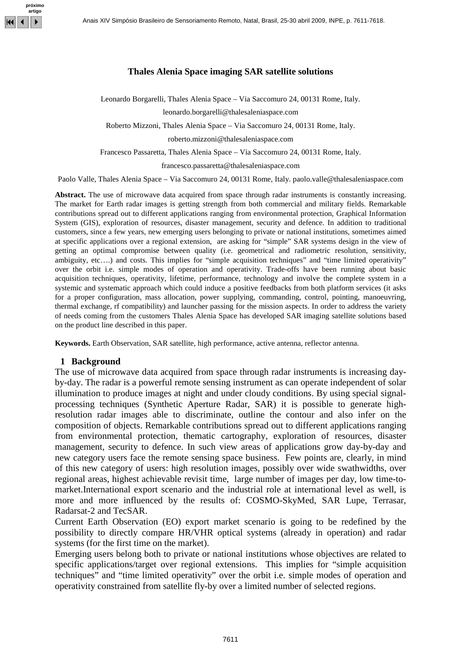

### **Thales Alenia Space imaging SAR satellite solutions**

Leonardo Borgarelli, Thales Alenia Space – Via Saccomuro 24, 00131 Rome, Italy.

leonardo.borgarelli@thalesaleniaspace.com

Roberto Mizzoni, Thales Alenia Space – Via Saccomuro 24, 00131 Rome, Italy.

roberto.mizzoni@thalesaleniaspace.com

Francesco Passaretta, Thales Alenia Space – Via Saccomuro 24, 00131 Rome, Italy.

francesco.passaretta@thalesaleniaspace.com

Paolo Valle, Thales Alenia Space – Via Saccomuro 24, 00131 Rome, Italy. paolo.valle@thalesaleniaspace.com

**Abstract.** The use of microwave data acquired from space through radar instruments is constantly increasing. The market for Earth radar images is getting strength from both commercial and military fields. Remarkable contributions spread out to different applications ranging from environmental protection, Graphical Information System (GIS), exploration of resources, disaster management, security and defence. In addition to traditional customers, since a few years, new emerging users belonging to private or national institutions, sometimes aimed at specific applications over a regional extension, are asking for "simple" SAR systems design in the view of getting an optimal compromise between quality (i.e. geometrical and radiometric resolution, sensitivity, ambiguity, etc....) and costs. This implies for "simple acquisition techniques" and "time limited operativity" over the orbit i.e. simple modes of operation and operativity. Trade-offs have been running about basic acquisition techniques, operativity, lifetime, performance, technology and involve the complete system in a systemic and systematic approach which could induce a positive feedbacks from both platform services (it asks for a proper configuration, mass allocation, power supplying, commanding, control, pointing, manoeuvring, thermal exchange, rf compatibility) and launcher passing for the mission aspects. In order to address the variety of needs coming from the customers Thales Alenia Space has developed SAR imaging satellite solutions based on the product line described in this paper.

**Keywords.** Earth Observation, SAR satellite, high performance, active antenna, reflector antenna.

#### **1 Background**

The use of microwave data acquired from space through radar instruments is increasing dayby-day. The radar is a powerful remote sensing instrument as can operate independent of solar illumination to produce images at night and under cloudy conditions. By using special signalprocessing techniques (Synthetic Aperture Radar, SAR) it is possible to generate highresolution radar images able to discriminate, outline the contour and also infer on the composition of objects. Remarkable contributions spread out to different applications ranging from environmental protection, thematic cartography, exploration of resources, disaster management, security to defence. In such view areas of applications grow day-by-day and new category users face the remote sensing space business. Few points are, clearly, in mind of this new category of users: high resolution images, possibly over wide swathwidths, over regional areas, highest achievable revisit time, large number of images per day, low time-tomarket.International export scenario and the industrial role at international level as well, is more and more influenced by the results of: COSMO-SkyMed, SAR Lupe, Terrasar, Radarsat-2 and TecSAR.

Current Earth Observation (EO) export market scenario is going to be redefined by the possibility to directly compare HR/VHR optical systems (already in operation) and radar systems (for the first time on the market).

Emerging users belong both to private or national institutions whose objectives are related to specific applications/target over regional extensions. This implies for "simple acquisition techniques" and "time limited operativity" over the orbit i.e. simple modes of operation and operativity constrained from satellite fly-by over a limited number of selected regions.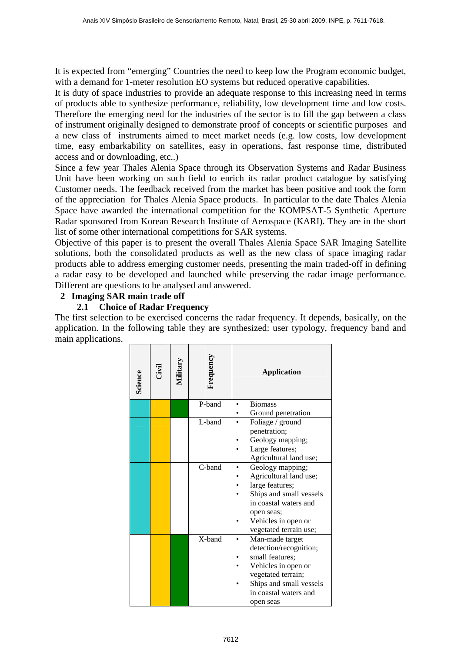It is expected from "emerging" Countries the need to keep low the Program economic budget, with a demand for 1-meter resolution EO systems but reduced operative capabilities.

It is duty of space industries to provide an adequate response to this increasing need in terms of products able to synthesize performance, reliability, low development time and low costs. Therefore the emerging need for the industries of the sector is to fill the gap between a class of instrument originally designed to demonstrate proof of concepts or scientific purposes and a new class of instruments aimed to meet market needs (e.g. low costs, low development time, easy embarkability on satellites, easy in operations, fast response time, distributed access and or downloading, etc..)

Since a few year Thales Alenia Space through its Observation Systems and Radar Business Unit have been working on such field to enrich its radar product catalogue by satisfying Customer needs. The feedback received from the market has been positive and took the form of the appreciation for Thales Alenia Space products. In particular to the date Thales Alenia Space have awarded the international competition for the KOMPSAT-5 Synthetic Aperture Radar sponsored from Korean Research Institute of Aerospace (KARI). They are in the short list of some other international competitions for SAR systems.

Objective of this paper is to present the overall Thales Alenia Space SAR Imaging Satellite solutions, both the consolidated products as well as the new class of space imaging radar products able to address emerging customer needs, presenting the main traded-off in defining a radar easy to be developed and launched while preserving the radar image performance. Different are questions to be analysed and answered.

## **2 Imaging SAR main trade off**

## **2.1 Choice of Radar Frequency**

The first selection to be exercised concerns the radar frequency. It depends, basically, on the application. In the following table they are synthesized: user typology, frequency band and main applications.

| <b>Exi</b> | Military | Frequency | <b>Application</b>                     |
|------------|----------|-----------|----------------------------------------|
|            |          | P-band    | <b>Biomass</b>                         |
|            |          |           | Ground penetration                     |
|            |          | L-band    | Foliage / ground                       |
|            |          |           | penetration;                           |
|            |          |           | Geology mapping;                       |
|            |          |           | Large features;                        |
|            |          |           | Agricultural land use;                 |
|            |          |           | Geology mapping;                       |
|            |          |           | Agricultural land use;                 |
|            |          |           | large features;                        |
|            |          |           | Ships and small vessels                |
|            |          |           | in coastal waters and                  |
|            |          |           | open seas;                             |
|            |          |           | Vehicles in open or                    |
|            |          |           | vegetated terrain use;                 |
|            |          |           | Man-made target                        |
|            |          |           | detection/recognition;                 |
|            |          |           | small features;<br>Vehicles in open or |
|            |          |           | vegetated terrain;                     |
|            |          |           | Ships and small vessels                |
|            |          |           |                                        |
|            |          |           | in coastal waters and                  |
|            |          |           | C-band<br>X-band                       |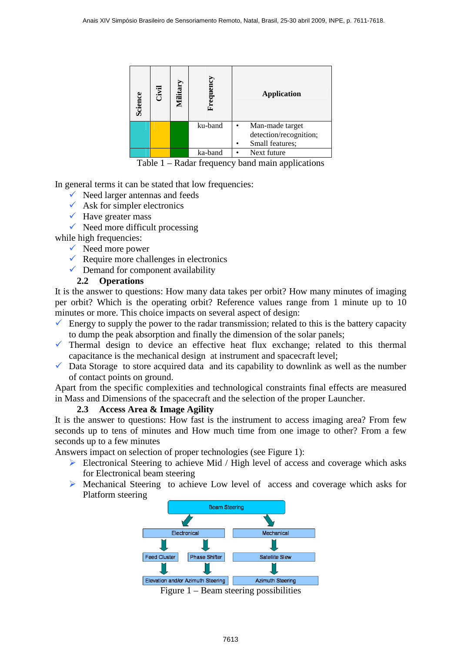| Science | <b>Civil</b> | Military | Frequency | <b>Application</b>                        |
|---------|--------------|----------|-----------|-------------------------------------------|
|         |              |          | ku-band   | Man-made target<br>detection/recognition; |
|         |              |          |           | Small features;                           |
|         |              |          | ka-band   | Next future                               |

Table 1 – Radar frequency band main applications

In general terms it can be stated that low frequencies:

- $\checkmark$  Need larger antennas and feeds
- $\checkmark$  Ask for simpler electronics
- $\checkmark$  Have greater mass
- $\checkmark$  Need more difficult processing

while high frequencies:

- $\checkmark$  Need more power
- Require more challenges in electronics
- $\checkmark$  Demand for component availability

### **2.2 Operations**

It is the answer to questions: How many data takes per orbit? How many minutes of imaging per orbit? Which is the operating orbit? Reference values range from 1 minute up to 10 minutes or more. This choice impacts on several aspect of design:

- $\checkmark$  Energy to supply the power to the radar transmission; related to this is the battery capacity to dump the peak absorption and finally the dimension of the solar panels;
- $\checkmark$  Thermal design to device an effective heat flux exchange; related to this thermal capacitance is the mechanical design at instrument and spacecraft level;
- $\checkmark$  Data Storage to store acquired data and its capability to downlink as well as the number of contact points on ground.

Apart from the specific complexities and technological constraints final effects are measured in Mass and Dimensions of the spacecraft and the selection of the proper Launcher.

### **2.3 Access Area & Image Agility**

It is the answer to questions: How fast is the instrument to access imaging area? From few seconds up to tens of minutes and How much time from one image to other? From a few seconds up to a few minutes

Answers impact on selection of proper technologies (see Figure 1):

- ▶ Electronical Steering to achieve Mid / High level of access and coverage which asks for Electronical beam steering
- > Mechanical Steering to achieve Low level of access and coverage which asks for Platform steering



Figure 1 – Beam steering possibilities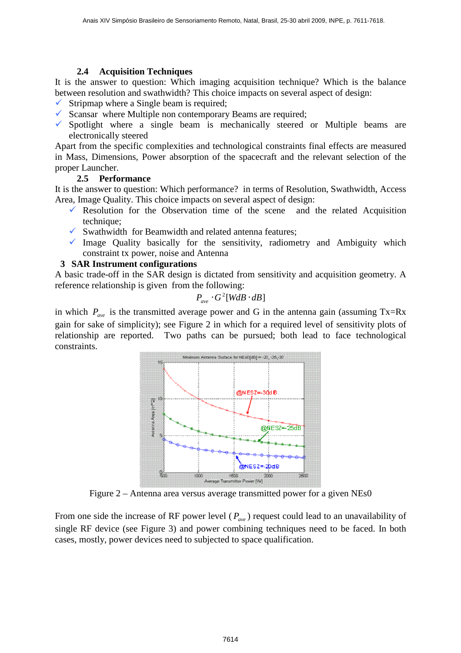### **2.4 Acquisition Techniques**

It is the answer to question: Which imaging acquisition technique? Which is the balance between resolution and swathwidth? This choice impacts on several aspect of design:

- $\checkmark$  Stripmap where a Single beam is required;
- $\checkmark$  Scansar where Multiple non contemporary Beams are required;
- $\checkmark$  Spotlight where a single beam is mechanically steered or Multiple beams are electronically steered

Apart from the specific complexities and technological constraints final effects are measured in Mass, Dimensions, Power absorption of the spacecraft and the relevant selection of the proper Launcher.

### **2.5 Performance**

It is the answer to question: Which performance? in terms of Resolution, Swathwidth, Access Area, Image Quality. This choice impacts on several aspect of design:

- Resolution for the Observation time of the scene and the related Acquisition technique;
- $\checkmark$  Swathwidth for Beamwidth and related antenna features;
- $\checkmark$  Image Quality basically for the sensitivity, radiometry and Ambiguity which constraint tx power, noise and Antenna

### **3 SAR Instrument configurations**

A basic trade-off in the SAR design is dictated from sensitivity and acquisition geometry. A reference relationship is given from the following:

$$
P_{ave} \cdot G^2[WdB \cdot dB]
$$

in which  $P_{\text{ave}}$  is the transmitted average power and G in the antenna gain (assuming Tx=Rx gain for sake of simplicity); see Figure 2 in which for a required level of sensitivity plots of relationship are reported. Two paths can be pursued; both lead to face technological constraints.



Figure 2 – Antenna area versus average transmitted power for a given NEs0

From one side the increase of RF power level ( $P_{av}$ ) request could lead to an unavailability of single RF device (see Figure 3) and power combining techniques need to be faced. In both cases, mostly, power devices need to subjected to space qualification.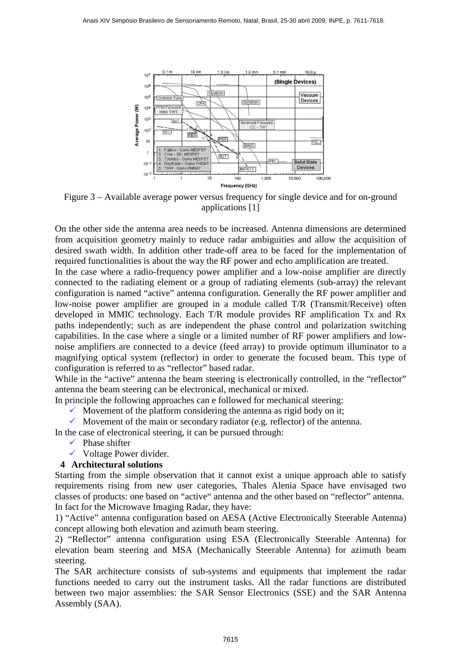

Figure 3 – Available average power versus frequency for single device and for on-ground applications [1]

On the other side the antenna area needs to be increased. Antenna dimensions are determined from acquisition geometry mainly to reduce radar ambiguities and allow the acquisition of desired swath width. In addition other trade-off area to be faced for the implementation of required functionalities is about the way the RF power and echo amplification are treated.

In the case where a radio-frequency power amplifier and a low-noise amplifier are directly connected to the radiating element or a group of radiating elements (sub-array) the relevant configuration is named "active" antenna configuration. Generally the RF power amplifier and low-noise power amplifier are grouped in a module called T/R (Transmit/Receive) often developed in MMIC technology. Each T/R module provides RF amplification Tx and Rx paths independently; such as are independent the phase control and polarization switching capabilities. In the case where a single or a limited number of RF power amplifiers and lownoise amplifiers are connected to a device (feed array) to provide optimum illuminator to a magnifying optical system (reflector) in order to generate the focused beam. This type of configuration is referred to as "reflector" based radar.

While in the "active" antenna the beam steering is electronically controlled, in the "reflector" antenna the beam steering can be electronical, mechanical or mixed.

In principle the following approaches can e followed for mechanical steering:

 $\checkmark$  Movement of the platform considering the antenna as rigid body on it;

 $\checkmark$  Movement of the main or secondary radiator (e.g. reflector) of the antenna.

In the case of electronical steering, it can be pursued through:

- $\checkmark$  Phase shifter
- $\checkmark$  Voltage Power divider.

### **4 Architectural solutions**

Starting from the simple observation that it cannot exist a unique approach able to satisfy requirements rising from new user categories, Thales Alenia Space have envisaged two classes of products: one based on "active" antenna and the other based on "reflector" antenna. In fact for the Microwave Imaging Radar, they have:

1) "Active" antenna configuration based on AESA (Active Electronically Steerable Antenna) concept allowing both elevation and azimuth beam steering.

2) "Reflector" antenna configuration using ESA (Electronically Steerable Antenna) for elevation beam steering and MSA (Mechanically Steerable Antenna) for azimuth beam steering.

The SAR architecture consists of sub-systems and equipments that implement the radar functions needed to carry out the instrument tasks. All the radar functions are distributed between two major assemblies: the SAR Sensor Electronics (SSE) and the SAR Antenna Assembly (SAA).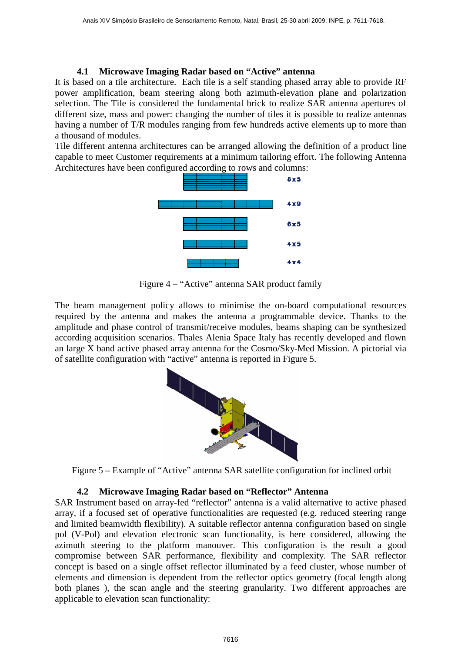### **4.1 Microwave Imaging Radar based on "Active" antenna**

It is based on a tile architecture. Each tile is a self standing phased array able to provide RF power amplification, beam steering along both azimuth-elevation plane and polarization selection. The Tile is considered the fundamental brick to realize SAR antenna apertures of different size, mass and power: changing the number of tiles it is possible to realize antennas having a number of T/R modules ranging from few hundreds active elements up to more than a thousand of modules.

Tile different antenna architectures can be arranged allowing the definition of a product line capable to meet Customer requirements at a minimum tailoring effort. The following Antenna Architectures have been configured according to rows and columns:



Figure 4 – "Active" antenna SAR product family

The beam management policy allows to minimise the on-board computational resources required by the antenna and makes the antenna a programmable device. Thanks to the amplitude and phase control of transmit/receive modules, beams shaping can be synthesized according acquisition scenarios. Thales Alenia Space Italy has recently developed and flown an large X band active phased array antenna for the Cosmo/Sky-Med Mission. A pictorial via of satellite configuration with "active" antenna is reported in Figure 5.



Figure 5 – Example of "Active" antenna SAR satellite configuration for inclined orbit

# **4.2 Microwave Imaging Radar based on "Reflector" Antenna**

SAR Instrument based on array-fed "reflector" antenna is a valid alternative to active phased array, if a focused set of operative functionalities are requested (e.g. reduced steering range and limited beamwidth flexibility). A suitable reflector antenna configuration based on single pol (V-Pol) and elevation electronic scan functionality, is here considered, allowing the azimuth steering to the platform manouver. This configuration is the result a good compromise between SAR performance, flexibility and complexity. The SAR reflector concept is based on a single offset reflector illuminated by a feed cluster, whose number of elements and dimension is dependent from the reflector optics geometry (focal length along both planes ), the scan angle and the steering granularity. Two different approaches are applicable to elevation scan functionality: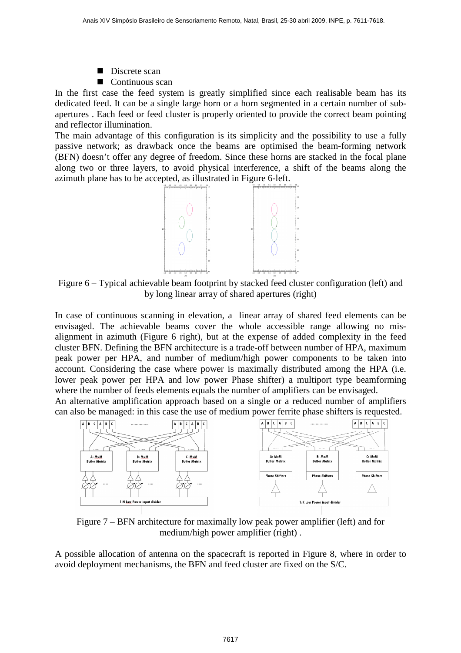- Discrete scan
- Continuous scan

In the first case the feed system is greatly simplified since each realisable beam has its dedicated feed. It can be a single large horn or a horn segmented in a certain number of subapertures . Each feed or feed cluster is properly oriented to provide the correct beam pointing and reflector illumination.

The main advantage of this configuration is its simplicity and the possibility to use a fully passive network; as drawback once the beams are optimised the beam-forming network (BFN) doesn't offer any degree of freedom. Since these horns are stacked in the focal plane along two or three layers, to avoid physical interference, a shift of the beams along the azimuth plane has to be accepted, as illustrated in Figure 6-left.



Figure 6 – Typical achievable beam footprint by stacked feed cluster configuration (left) and by long linear array of shared apertures (right)

In case of continuous scanning in elevation, a linear array of shared feed elements can be envisaged. The achievable beams cover the whole accessible range allowing no misalignment in azimuth (Figure 6 right), but at the expense of added complexity in the feed cluster BFN. Defining the BFN architecture is a trade-off between number of HPA, maximum peak power per HPA, and number of medium/high power components to be taken into account. Considering the case where power is maximally distributed among the HPA (i.e. lower peak power per HPA and low power Phase shifter) a multiport type beamforming where the number of feeds elements equals the number of amplifiers can be envisaged.

An alternative amplification approach based on a single or a reduced number of amplifiers can also be managed: in this case the use of medium power ferrite phase shifters is requested.



Figure 7 – BFN architecture for maximally low peak power amplifier (left) and for medium/high power amplifier (right) .

A possible allocation of antenna on the spacecraft is reported in Figure 8, where in order to avoid deployment mechanisms, the BFN and feed cluster are fixed on the S/C.